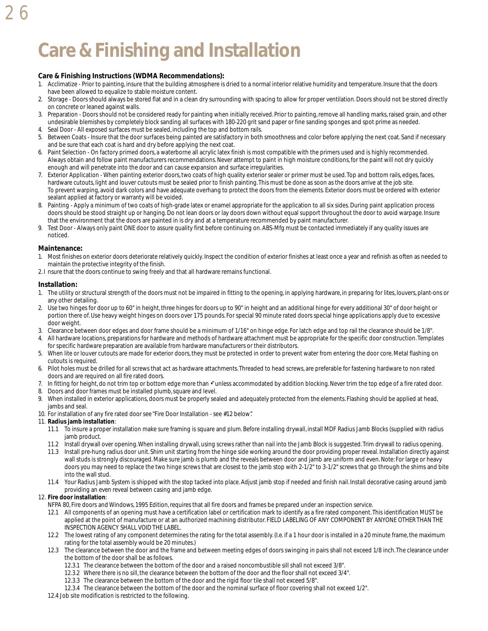# **Care & Finishing and Installation**

#### **Care & Finishing Instructions (WDMA Recommendations):**

- 1. Acclimatize Prior to painting, insure that the building atmosphere is dried to a normal interior relative humidity and temperature. Insure that the doors have been allowed to equalize to stable moisture content.
- 2. Storage Doors should always be stored flat and in a clean dry surrounding with spacing to allow for proper ventilation. Doors should not be stored directly on concrete or leaned against walls.
- 3. Preparation Doors should not be considered ready for painting when initially received. Prior to painting, remove all handling marks, raised grain, and other undesirable blemishes by completely block sanding all surfaces with 180-220 grit sand paper or fine sanding sponges and spot prime as needed. 4. Seal Door - All exposed surfaces must be sealed, including the top and bottom rails.
- 5. Between Coats Insure that the door surfaces being painted are satisfactory in both smoothness and color before applying the next coat. Sand if necessary and be sure that each coat is hard and dry before applying the next coat.
- 6. Paint Selection On factory primed doors, a waterborne all acrylic latex finish is most compatible with the primers used and is highly recommended. Always obtain and follow paint manufacturers recommendations. Never attempt to paint in high moisture conditions, for the paint will not dry quickly enough and will penetrate into the door and can cause expansion and surface irregularities.
- 7. Exterior Application When painting exterior doors, two coats of high quality exterior sealer or primer must be used. Top and bottom rails, edges, faces, hardware cutouts, light and louver cutouts must be sealed prior to finish painting. This must be done as soon as the doors arrive at the job site. To prevent warping, avoid dark colors and have adequate overhang to protect the doors from the elements. Exterior doors must be ordered with exterior sealant applied at factory or warranty will be voided.
- 8. Painting Apply a minimum of two coats of high-grade latex or enamel appropriate for the application to all six sides. During paint application process doors should be stood straight up or hanging. Do not lean doors or lay doors down without equal support throughout the door to avoid warpage. Insure that the environment that the doors are painted in is dry and at a temperature recommended by paint manufacturer.
- 9. Test Door Always only paint ONE door to assure quality first before continuing on. ABS-Mfg must be contacted immediately if any quality issues are noticed.

#### **Maintenance:**

26

- 1. Most finishes on exterior doors deteriorate relatively quickly. Inspect the condition of exterior finishes at least once a year and refinish as often as needed to maintain the protective integrity of the finish.
- 2. I nsure that the doors continue to swing freely and that all hardware remains functional.

#### **Installation:**

- 1. The utility or structural strength of the doors must not be impaired in fitting to the opening, in applying hardware, in preparing for lites, louvers, plant-ons or any other detailing.
- 2. Use two hinges for door up to 60" in height, three hinges for doors up to 90" in height and an additional hinge for every additional 30" of door height or portion there of. Use heavy weight hinges on doors over 175 pounds. For special 90 minute rated doors special hinge applications apply due to excessive door weight.
- 3. Clearance between door edges and door frame should be a minimum of 1/16" on hinge edge. For latch edge and top rail the clearance should be 1/8".
- 4. All hardware locations, preparations for hardware and methods of hardware attachment must be appropriate for the specific door construction. Templates for specific hardware preparation are available from hardware manufacturers or their distributors.
- 5. When lite or louver cutouts are made for exterior doors, they must be protected in order to prevent water from entering the door core. Metal flashing on cutouts is required.
- 6. Pilot holes must be drilled for all screws that act as hardware attachments. Threaded to head screws, are preferable for fastening hardware to non rated doors and are required on all fire rated doors.
- 7. In fitting for height, do not trim top or bottom edge more than · "unless accommodated by addition blocking. Never trim the top edge of a fire rated door.
- 8. Doors and door frames must be installed plumb, square and level.
- 9. When installed in exterior applications, doors must be properly sealed and adequately protected from the elements. Flashing should be applied at head, jambs and seal.
- 10. For installation of any fire rated door see "Fire Door Installation see #12 below".

#### 11. **Radius jamb installation**:

- 11.1 To insure a proper installation make sure framing is square and plum. Before installing drywall, install MDF Radius Jamb Blocks (supplied with radius jamb product.
- 11.2 Install drywall over opening. When installing drywall, using screws rather than nail into the Jamb Block is suggested. Trim drywall to radius opening.
- 11.3 Install pre-hung radius door unit. Shim unit starting from the hinge side working around the door providing proper reveal. Installation directly against wall studs is strongly discouraged. Make sure jamb is plumb and the reveals between door and jamb are uniform and even. Note: For large or heavy doors you may need to replace the two hinge screws that are closest to the jamb stop with 2-1/2" to 3-1/2" screws that go through the shims and bite into the wall stud.
- 11.4 Your Radius Jamb System is shipped with the stop tacked into place. Adjust jamb stop if needed and finish nail. Install decorative casing around jamb providing an even reveal between casing and jamb edge.

#### 12. **Fire door installation**:

- NFPA 80, Fire doors and Windows, 1995 Edition, requires that all fire doors and frames be prepared under an inspection service.
- 12.1 All components of an opening must have a certification label or certification mark to identify as a fire rated component. This identification MUST be applied at the point of manufacture or at an authorized machining distributor. FIELD LABELING OF ANY COMPONENT BY ANYONE OTHER THAN THE INSPECTION AGENCY SHALL VOID THE LABEL.
- 12.2 The lowest rating of any component determines the rating for the total assembly. (I.e. if a 1 hour door is installed in a 20 minute frame, the maximum rating for the total assembly would be 20 minutes.)
- 12.3 The clearance between the door and the frame and between meeting edges of doors swinging in pairs shall not exceed 1/8 inch. The clearance under the bottom of the door shall be as follows.
	- 12.3.1 The clearance between the bottom of the door and a raised noncombustible sill shall not exceed 3/8".
	- 12.3.2 Where there is no sill, the clearance between the bottom of the door and the floor shall not exceed 3/4".
	- 12.3.3 The clearance between the bottom of the door and the rigid floor tile shall not exceed 5/8".
	- 12.3.4 The clearance between the bottom of the door and the nominal surface of floor covering shall not exceed 1/2".
- 12.4 Job site modification is restricted to the following.